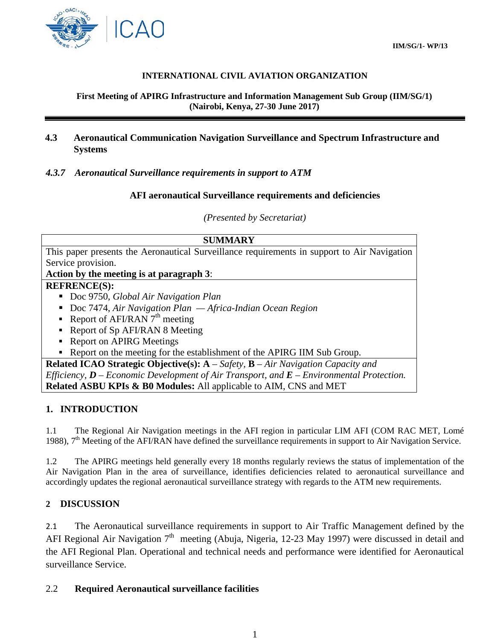

## **INTERNATIONAL CIVIL AVIATION ORGANIZATION**

**First Meeting of APIRG Infrastructure and Information Management Sub Group (IIM/SG/1) (Nairobi, Kenya, 27-30 June 2017)**

## **4.3 Aeronautical Communication Navigation Surveillance and Spectrum Infrastructure and Systems**

#### *4.3.7 Aeronautical Surveillance requirements in support to ATM*

#### **AFI aeronautical Surveillance requirements and deficiencies**

*(Presented by Secretariat)*

| <b>SUMMARY</b>                                                                                  |
|-------------------------------------------------------------------------------------------------|
| This paper presents the Aeronautical Surveillance requirements in support to Air Navigation     |
| Service provision.                                                                              |
| Action by the meeting is at paragraph 3:                                                        |
| <b>REFRENCE(S):</b>                                                                             |
| Doc 9750, Global Air Navigation Plan                                                            |
| Doc 7474, Air Navigation Plan $-A$ frica-Indian Ocean Region                                    |
| Report of AFI/RAN $7th$ meeting                                                                 |
| Report of Sp AFI/RAN 8 Meeting                                                                  |
| <b>Report on APIRG Meetings</b>                                                                 |
| Report on the meeting for the establishment of the APIRG IIM Sub Group.                         |
| <b>Related ICAO Strategic Objective(s):</b> $A - Safety$ , $B - Air\ Navigation\ Capacity\ and$ |
| Efficiency, $D$ – Economic Development of Air Transport, and $E$ – Environmental Protection.    |
| <b>Related ASBU KPIs &amp; B0 Modules:</b> All applicable to AIM, CNS and MET                   |

#### **1. INTRODUCTION**

1.1 The Regional Air Navigation meetings in the AFI region in particular LIM AFI (COM RAC MET, Lomé 1988),  $7<sup>th</sup>$  Meeting of the AFI/RAN have defined the surveillance requirements in support to Air Navigation Service.

1.2 The APIRG meetings held generally every 18 months regularly reviews the status of implementation of the Air Navigation Plan in the area of surveillance, identifies deficiencies related to aeronautical surveillance and accordingly updates the regional aeronautical surveillance strategy with regards to the ATM new requirements.

#### **2 DISCUSSION**

2.1 The Aeronautical surveillance requirements in support to Air Traffic Management defined by the AFI Regional Air Navigation  $7<sup>th</sup>$  meeting (Abuja, Nigeria, 12-23 May 1997) were discussed in detail and the AFI Regional Plan. Operational and technical needs and performance were identified for Aeronautical surveillance Service.

#### 2.2 **Required Aeronautical surveillance facilities**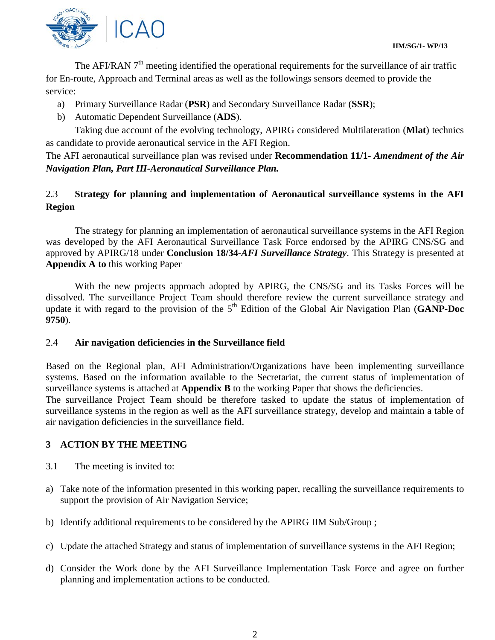The AFI/RAN  $7<sup>th</sup>$  meeting identified the operational requirements for the surveillance of air traffic for En-route, Approach and Terminal areas as well as the followings sensors deemed to provide the service:

- a) Primary Surveillance Radar (**PSR**) and Secondary Surveillance Radar (**SSR**);
- b) Automatic Dependent Surveillance (**ADS**).

Taking due account of the evolving technology, APIRG considered Multilateration (**Mlat**) technics as candidate to provide aeronautical service in the AFI Region.

The AFI aeronautical surveillance plan was revised under **Recommendation 11/1-** *Amendment of the Air Navigation Plan, Part III-Aeronautical Surveillance Plan.*

# 2.3 **Strategy for planning and implementation of Aeronautical surveillance systems in the AFI Region**

The strategy for planning an implementation of aeronautical surveillance systems in the AFI Region was developed by the AFI Aeronautical Surveillance Task Force endorsed by the APIRG CNS/SG and approved by APIRG/18 under **Conclusion 18/34-***AFI Surveillance Strategy*. This Strategy is presented at **Appendix A to** this working Paper

With the new projects approach adopted by APIRG, the CNS/SG and its Tasks Forces will be dissolved. The surveillance Project Team should therefore review the current surveillance strategy and update it with regard to the provision of the 5<sup>th</sup> Edition of the Global Air Navigation Plan (GANP-Doc **9750**).

#### 2.4 **Air navigation deficiencies in the Surveillance field**

Based on the Regional plan, AFI Administration/Organizations have been implementing surveillance systems. Based on the information available to the Secretariat, the current status of implementation of surveillance systems is attached at **Appendix B** to the working Paper that shows the deficiencies.

The surveillance Project Team should be therefore tasked to update the status of implementation of surveillance systems in the region as well as the AFI surveillance strategy, develop and maintain a table of air navigation deficiencies in the surveillance field.

# **3 ACTION BY THE MEETING**

- 3.1 The meeting is invited to:
- a) Take note of the information presented in this working paper, recalling the surveillance requirements to support the provision of Air Navigation Service;
- b) Identify additional requirements to be considered by the APIRG IIM Sub/Group ;
- c) Update the attached Strategy and status of implementation of surveillance systems in the AFI Region;
- d) Consider the Work done by the AFI Surveillance Implementation Task Force and agree on further planning and implementation actions to be conducted.